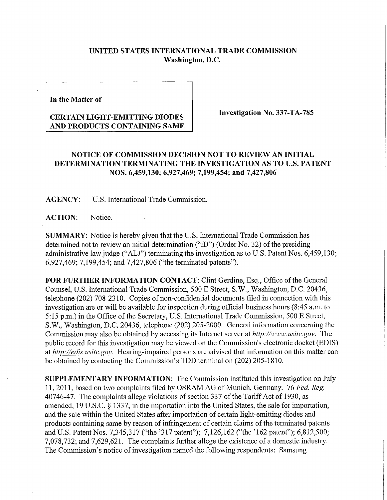## **UNITED STATES INTERNATIONAL TRADE COMMISSION Washington, D.C.**

**In the Matter of** 

## **CERTAIN LIGHT-EMITTING DIODES AND PRODUCTS CONTAINING SAME**

**Investigation No. 337-TA-785** 

## **NOTICE OF COMMISSION DECISION NOT TO REVIEW AN INITIAL DETERMINATION TERMINATING THE INVESTIGATION AS TO U.S. PATENT NOS. 6,459,130; 6,927,469; 7,199,454; and 7,427,806**

**AGENCY:** U.S. International Trade Commission.

ACTION: Notice.

**SUMMARY:** Notice is hereby given that the U.S. International Trade Commission has determined not to review an initial determination ("ID") (Order No. 32) of the presiding administrative law judge ("ALJ") terminating the investigation as to U.S. Patent Nos. 6,459,130; 6,927,469; 7,199,454; and 7,427,806 ("the terminated patents").

FOR FURTHER INFORMATION CONTACT: Clint Gerdine, Esq., Office of the General Counsel, U.S. International Trade Commission, 500 E Street, S.W., Washington, D.C. 20436, telephone (202) 708-2310. Copies of non-confidential documents filed in connection with this investigation are or will be available for inspection during official business hours (8:45 a.m. to 5:15 p.m.) in the Office of the Secretary, U.S. International Trade Commission, 500 E Street, S.W., Washington, D.C. 20436, telephone (202) 205-2000. General information concerning the Commission may also be obtained by accessing its Internet server at *http://www.usitc.gov.* The public record for this investigation may be viewed on the Commission's electronic docket (EDIS) at *http://edis. usitc. gov.* Hearing-impaired persons are advised that information on this matter can be obtained by contacting the Commission's TDD terminal on (202) 205-1810.

**SUPPLEMENTARY INFORMATION:** The Commission instituted this investigation on July 11,2011, based on two complaints filed by OSRAM AG of Munich, Germany. 76 *Fed. Reg.*  40746-47. The complaints allege violations of section 337 of the Tariff Act of 1930, as amended, 19 U.S.C. § 1337, in the importation into the United States, the sale for importation, and the sale within the United States after importation of certain light-emitting diodes and products containing same by reason of infringement of certain claims of the terminated patents and U.S. Patent Nos. 7,345,317 ("the '317 patent"); 7,126,162 ("the '162 patent"); 6,812,500; 7,078,732; and 7,629,621. The complaints further allege the existence of a domestic industiy. The Commission's notice of investigation named the following respondents: Samsung